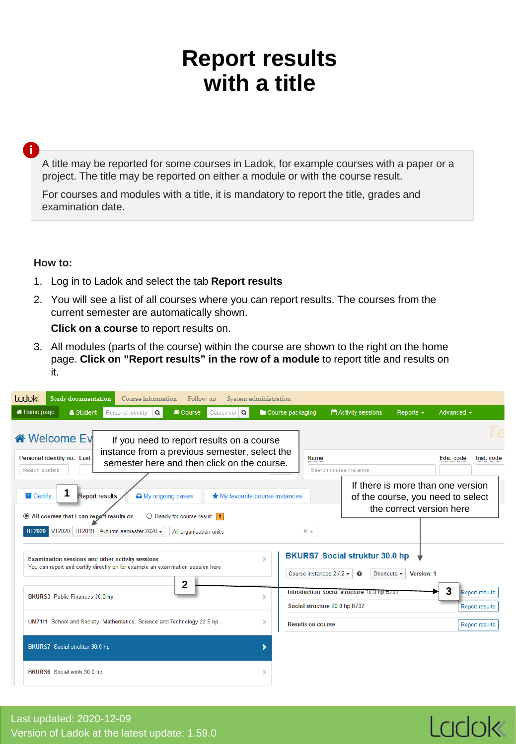## **Report results with a title**

**i**

A title may be reported for some courses in Ladok, for example courses with a paper or a project. The title may be reported on either a module or with the course result.

For courses and modules with a title, it is mandatory to report the title, grades and examination date.

## **How to:**

- 1. Log in to Ladok and select the tab **Report results**
- 2. You will see a list of all courses where you can report results. The courses from the current semester are automatically shown.

**Click on a course** to report results on.

3. All modules (parts of the course) within the course are shown to the right on the home page. **Click on "Report results" in the row of a module** to report title and results on it.

| <b>Ladok</b><br>Study documentation                                     | Follow-up<br>Course information                                                                                                           | System administration           |                                                                             |                                                      |                                                                        |
|-------------------------------------------------------------------------|-------------------------------------------------------------------------------------------------------------------------------------------|---------------------------------|-----------------------------------------------------------------------------|------------------------------------------------------|------------------------------------------------------------------------|
| <b>A</b> Home page<br>Student                                           | Personal identity<br>$\alpha$<br><b>D</b> Course<br>Course cor Q                                                                          | Course packaging                | Activity sessions                                                           | Reports $\sim$                                       | Advanced $\sim$                                                        |
| « Welcome Ev<br>Personal identity no. Last                              | If you need to report results on a course<br>instance from a previous semester, select the<br>semester here and then click on the course. |                                 | <b>Name</b>                                                                 |                                                      | Inst. code<br>Edu. code                                                |
| Search student                                                          |                                                                                                                                           |                                 | Search course instance                                                      |                                                      |                                                                        |
| 1<br>$\blacksquare$ Certify<br>All courses that I can report results on | <b>Report results</b><br>A My ongoing cases<br>$\bigcirc$ Ready for course result 1                                                       | ★ My favourite course instances |                                                                             | the correct version here                             | If there is more than one version<br>of the course, you need to select |
| <b>HT2020</b>                                                           | VT2020 HT2019 Autumn semester 2020 -<br>All organisation units                                                                            |                                 | $x -$                                                                       |                                                      |                                                                        |
| Examination sessions and other activity sessions                        | You can report and certify directly on for example an examination session here                                                            |                                 | <b>BKURS7 Social struktur 30.0 hp</b><br>Course instances $2/2$<br>0        | Shortcuts $\blacktriangleright$<br><b>Version: 1</b> |                                                                        |
| BKURS3 Public Finances 30.0 hp                                          | 2                                                                                                                                         |                                 | Introduction Social structure 10.0 hp B701<br>Social structure 20.0 hp B702 |                                                      | 3<br><b>Report results</b><br><b>Report results</b>                    |
|                                                                         | UM7111 School and Society: Mathematics, Science and Technology 22.5 hp                                                                    | s                               | <b>Results on course</b>                                                    |                                                      | <b>Report results</b>                                                  |
| BKURS7 Social struktur 30.0 hp                                          |                                                                                                                                           |                                 |                                                                             |                                                      |                                                                        |
| BKURS6 Social work 30.0 hp                                              |                                                                                                                                           |                                 |                                                                             |                                                      |                                                                        |

Ladok

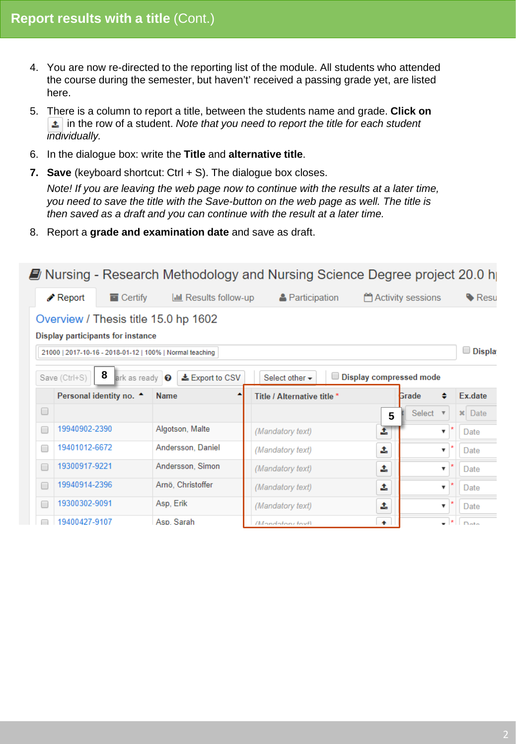- 4. You are now re-directed to the reporting list of the module. All students who attended the course during the semester, but haven't' received a passing grade yet, are listed here.
- 5. There is a column to report a title, between the students name and grade. **Click on t** in the row of a student. *Note that you need to report the title for each student individually.*
- 6. In the dialogue box: write the **Title** and **alternative title**.
- **7. Save** (keyboard shortcut: Ctrl + S). The dialogue box closes.

*Note! If you are leaving the web page now to continue with the results at a later time, you need to save the title with the Save-button on the web page as well. The title is then saved as a draft and you can continue with the result at a later time.*

8. Report a **grade and examination date** and save as draft.

| ■ Nursing - Research Methodology and Nursing Science Degree project 20.0 h |                                                                                                                                            |                                    |                              |                                    |                         |                                   |                               |  |  |
|----------------------------------------------------------------------------|--------------------------------------------------------------------------------------------------------------------------------------------|------------------------------------|------------------------------|------------------------------------|-------------------------|-----------------------------------|-------------------------------|--|--|
|                                                                            | Seport ♦                                                                                                                                   | $\blacksquare$ Certify             | <b>III</b> Results follow-up | <b>A</b> Participation             |                         | Activity sessions                 | Resu                          |  |  |
|                                                                            | Overview / Thesis title 15.0 hp 1602<br>Display participants for instance<br>U<br>21000   2017-10-16 - 2018-01-12   100%   Normal teaching |                                    |                              |                                    |                         |                                   |                               |  |  |
|                                                                            | Save (Ctrl+S)                                                                                                                              | 8<br>ark as ready O                | <b>±</b> Export to CSV       | Select other $\blacktriangleright$ | Display compressed mode |                                   | Displa                        |  |  |
|                                                                            |                                                                                                                                            | Personal identity no. <sup>4</sup> | <b>Name</b>                  | Title / Alternative title *        |                         | Grade                             | Ex.date                       |  |  |
| O                                                                          |                                                                                                                                            |                                    |                              |                                    | 5                       | Select<br>$\overline{\mathbf{v}}$ | $\vert \mathbf{x} \vert$ Date |  |  |
| □                                                                          | 19940902-2390                                                                                                                              |                                    | Algotson, Malte              | (Mandatory text)                   | Ĵ.                      | ▼                                 | Date                          |  |  |
| □                                                                          | 19401012-6672                                                                                                                              |                                    | Andersson, Daniel            | (Mandatory text)                   | 土                       | ▼                                 | Date                          |  |  |
| $\Box$                                                                     | 19300917-9221                                                                                                                              |                                    | Andersson, Simon             | (Mandatory text)                   | ±.                      | ▼                                 | Date                          |  |  |
| □                                                                          | 19940914-2396                                                                                                                              |                                    | Arnö, Christoffer            | (Mandatory text)                   | 土                       | ▼                                 | Date                          |  |  |
| $\Box$                                                                     | 19300302-9091                                                                                                                              |                                    | Asp, Erik                    | (Mandatory text)                   | 1                       | ▼                                 | Date                          |  |  |
| □                                                                          | 19400427-9107                                                                                                                              |                                    | Asp Sarah                    | <i>Mondotoni tout</i>              | $\bullet$               |                                   | - *<br>$n_{\text{obs}}$       |  |  |